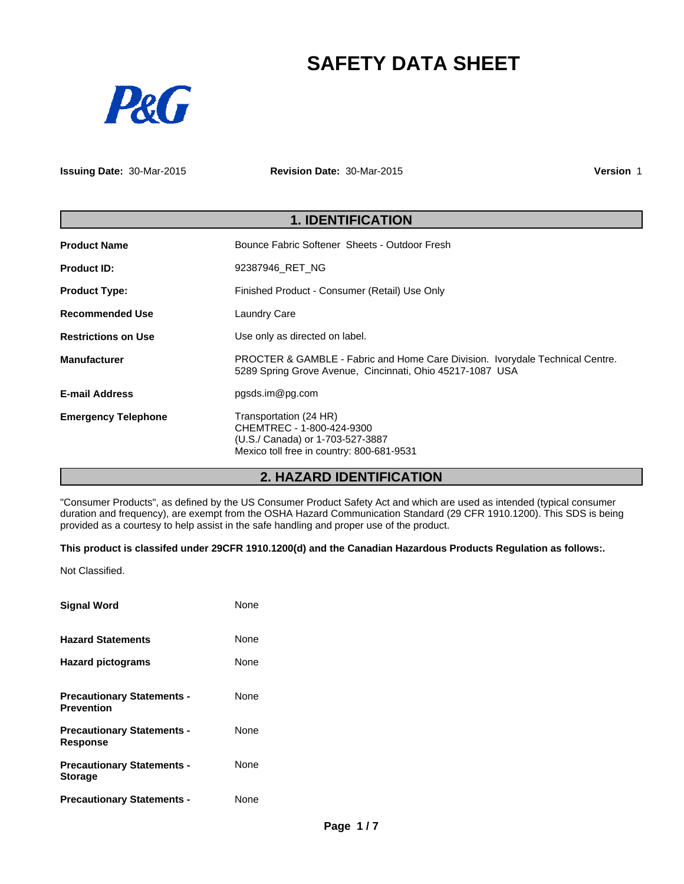# **SAFETY DATA SHEET**



**Issuing Date:** 30-Mar-2015

**Revision Date:** 30-Mar-2015

**Version** 1

| <b>1. IDENTIFICATION</b>   |                                                                                                                                            |  |
|----------------------------|--------------------------------------------------------------------------------------------------------------------------------------------|--|
| <b>Product Name</b>        | Bounce Fabric Softener Sheets - Outdoor Fresh                                                                                              |  |
| <b>Product ID:</b>         | 92387946 RET NG                                                                                                                            |  |
| <b>Product Type:</b>       | Finished Product - Consumer (Retail) Use Only                                                                                              |  |
| <b>Recommended Use</b>     | <b>Laundry Care</b>                                                                                                                        |  |
| <b>Restrictions on Use</b> | Use only as directed on label.                                                                                                             |  |
| <b>Manufacturer</b>        | PROCTER & GAMBLE - Fabric and Home Care Division. Ivorydale Technical Centre.<br>5289 Spring Grove Avenue, Cincinnati, Ohio 45217-1087 USA |  |
| <b>E-mail Address</b>      | pgsds.im@pg.com                                                                                                                            |  |
| <b>Emergency Telephone</b> | Transportation (24 HR)<br>CHEMTREC - 1-800-424-9300<br>(U.S./ Canada) or 1-703-527-3887<br>Mexico toll free in country: 800-681-9531       |  |

# **2. HAZARD IDENTIFICATION**

"Consumer Products", as defined by the US Consumer Product Safety Act and which are used as intended (typical consumer duration and frequency), are exempt from the OSHA Hazard Communication Standard (29 CFR 1910.1200). This SDS is being provided as a courtesy to help assist in the safe handling and proper use of the product.

## **This product is classifed under 29CFR 1910.1200(d) and the Canadian Hazardous Products Regulation as follows:.**

Not Classified.

| <b>Signal Word</b>                                     | None |
|--------------------------------------------------------|------|
| <b>Hazard Statements</b>                               | None |
| <b>Hazard pictograms</b>                               | None |
| <b>Precautionary Statements -</b><br><b>Prevention</b> | None |
| <b>Precautionary Statements -</b><br><b>Response</b>   | None |
| <b>Precautionary Statements -</b><br><b>Storage</b>    | None |
| <b>Precautionary Statements -</b>                      | None |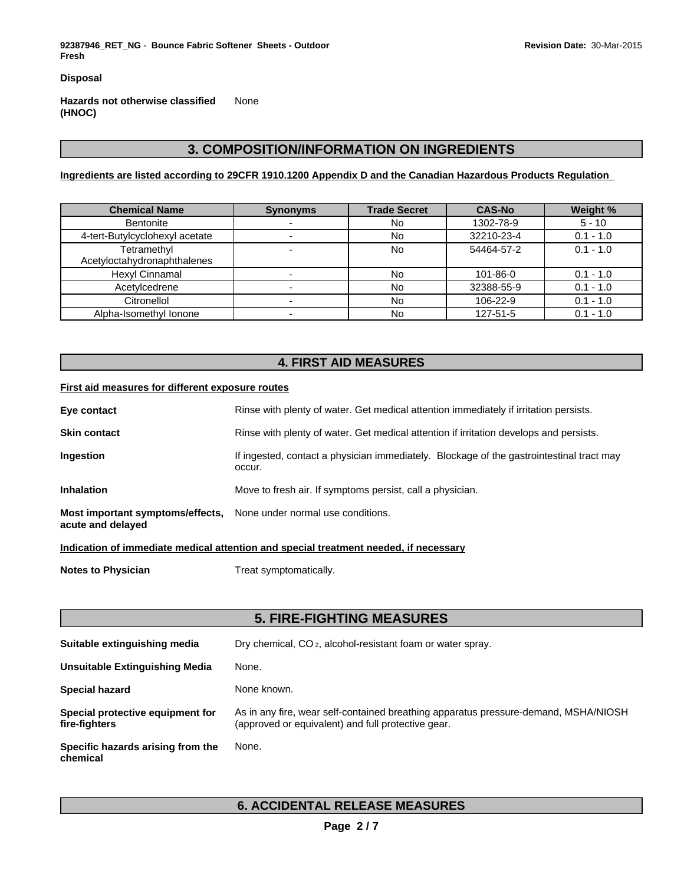**92387946\_RET\_NG** - **Bounce Fabric Softener Sheets - Outdoor Fresh**

**Disposal**

**Hazards not otherwise classified (HNOC)** None

# **3. COMPOSITION/INFORMATION ON INGREDIENTS**

**Ingredients are listed according to 29CFR 1910.1200 Appendix D and the Canadian Hazardous Products Regulation** 

| <b>Chemical Name</b>           | <b>Synonyms</b> | <b>Trade Secret</b> | <b>CAS-No</b> | Weight %    |
|--------------------------------|-----------------|---------------------|---------------|-------------|
| Bentonite                      |                 | <b>No</b>           | 1302-78-9     | $5 - 10$    |
| 4-tert-Butylcyclohexyl acetate |                 | No                  | 32210-23-4    | $0.1 - 1.0$ |
| Tetramethyl                    |                 | No                  | 54464-57-2    | $0.1 - 1.0$ |
| Acetyloctahydronaphthalenes    |                 |                     |               |             |
| Hexyl Cinnamal                 |                 | No                  | 101-86-0      | $0.1 - 1.0$ |
| Acetylcedrene                  |                 | No                  | 32388-55-9    | $0.1 - 1.0$ |
| Citronellol                    |                 | No                  | 106-22-9      | $0.1 - 1.0$ |
| Alpha-Isomethyl Ionone         |                 | <b>No</b>           | 127-51-5      | $0.1 - 1.0$ |

## **4. FIRST AID MEASURES**

## **First aid measures for different exposure routes**

| Eye contact                                           | Rinse with plenty of water. Get medical attention immediately if irritation persists.              |
|-------------------------------------------------------|----------------------------------------------------------------------------------------------------|
| <b>Skin contact</b>                                   | Rinse with plenty of water. Get medical attention if irritation develops and persists.             |
| <b>Ingestion</b>                                      | If ingested, contact a physician immediately. Blockage of the gastrointestinal tract may<br>occur. |
| <b>Inhalation</b>                                     | Move to fresh air. If symptoms persist, call a physician.                                          |
| Most important symptoms/effects,<br>acute and delayed | None under normal use conditions.                                                                  |

**Indication of immediate medical attention and special treatment needed, if necessary**

**Notes to Physician** Treat symptomatically.

|                                                   | <b>5. FIRE-FIGHTING MEASURES</b>                                                                                                          |
|---------------------------------------------------|-------------------------------------------------------------------------------------------------------------------------------------------|
| Suitable extinguishing media                      | Dry chemical, CO <sub>2</sub> , alcohol-resistant foam or water spray.                                                                    |
| Unsuitable Extinguishing Media                    | None.                                                                                                                                     |
| Special hazard                                    | None known.                                                                                                                               |
| Special protective equipment for<br>fire-fighters | As in any fire, wear self-contained breathing apparatus pressure-demand, MSHA/NIOSH<br>(approved or equivalent) and full protective gear. |
| Specific hazards arising from the<br>chemical     | None.                                                                                                                                     |

## **6. ACCIDENTAL RELEASE MEASURES**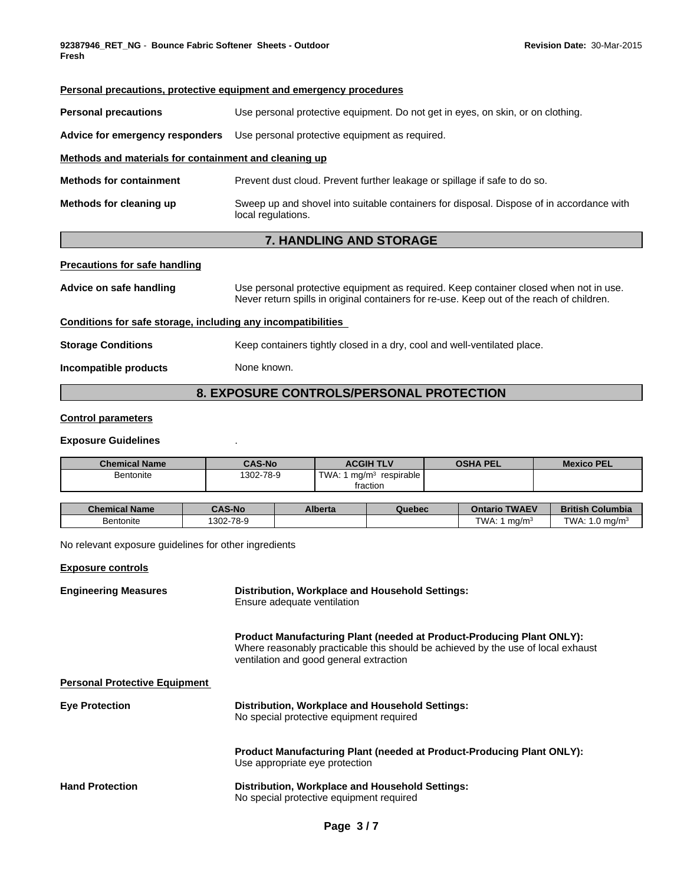| <b>Personal precautions, protective equipment and emergency procedures</b> |                                                                                                                                                                                    |  |  |  |  |
|----------------------------------------------------------------------------|------------------------------------------------------------------------------------------------------------------------------------------------------------------------------------|--|--|--|--|
| <b>Personal precautions</b>                                                | Use personal protective equipment. Do not get in eyes, on skin, or on clothing.                                                                                                    |  |  |  |  |
| Advice for emergency responders                                            | Use personal protective equipment as required.                                                                                                                                     |  |  |  |  |
| Methods and materials for containment and cleaning up                      |                                                                                                                                                                                    |  |  |  |  |
| <b>Methods for containment</b>                                             | Prevent dust cloud. Prevent further leakage or spillage if safe to do so.                                                                                                          |  |  |  |  |
| Methods for cleaning up                                                    | Sweep up and shovel into suitable containers for disposal. Dispose of in accordance with<br>local regulations.                                                                     |  |  |  |  |
| <b>7. HANDLING AND STORAGE</b>                                             |                                                                                                                                                                                    |  |  |  |  |
| <b>Precautions for safe handling</b>                                       |                                                                                                                                                                                    |  |  |  |  |
| Advice on safe handling                                                    | Use personal protective equipment as required. Keep container closed when not in use.<br>Never return spills in original containers for re-use. Keep out of the reach of children. |  |  |  |  |
| Conditions for safe storage, including any incompatibilities               |                                                                                                                                                                                    |  |  |  |  |
| <b>Storage Conditions</b>                                                  | Keep containers tightly closed in a dry, cool and well-ventilated place.                                                                                                           |  |  |  |  |
| Incompatible products                                                      | None known.                                                                                                                                                                        |  |  |  |  |
|                                                                            |                                                                                                                                                                                    |  |  |  |  |

# **8. EXPOSURE CONTROLS/PERSONAL PROTECTION**

## **Control parameters**

## **Exposure Guidelines** .

| <b>Chemical Name</b>                                  | <b>CAS-No</b> |                                                                                                                                                                                                      |                                       | <b>ACGIH TLV</b><br><b>OSHA PEL</b> |  | <b>Mexico PEL</b>                                                     |                           |
|-------------------------------------------------------|---------------|------------------------------------------------------------------------------------------------------------------------------------------------------------------------------------------------------|---------------------------------------|-------------------------------------|--|-----------------------------------------------------------------------|---------------------------|
| Bentonite                                             | 1302-78-9     |                                                                                                                                                                                                      | TWA: 1 $mg/m3$ respirable<br>fraction |                                     |  |                                                                       |                           |
| <b>Chemical Name</b>                                  | <b>CAS-No</b> | <b>Alberta</b>                                                                                                                                                                                       |                                       | Quebec                              |  | <b>Ontario TWAEV</b>                                                  | <b>British Columbia</b>   |
| Bentonite                                             | 1302-78-9     |                                                                                                                                                                                                      |                                       |                                     |  | TWA: 1 $mq/m3$                                                        | TWA: $1.0 \text{ mg/m}^3$ |
| No relevant exposure quidelines for other ingredients |               |                                                                                                                                                                                                      |                                       |                                     |  |                                                                       |                           |
| <b>Exposure controls</b>                              |               |                                                                                                                                                                                                      |                                       |                                     |  |                                                                       |                           |
| <b>Engineering Measures</b>                           |               | Distribution, Workplace and Household Settings:<br>Ensure adequate ventilation                                                                                                                       |                                       |                                     |  |                                                                       |                           |
|                                                       |               | Product Manufacturing Plant (needed at Product-Producing Plant ONLY):<br>Where reasonably practicable this should be achieved by the use of local exhaust<br>ventilation and good general extraction |                                       |                                     |  |                                                                       |                           |
| <b>Personal Protective Equipment</b>                  |               |                                                                                                                                                                                                      |                                       |                                     |  |                                                                       |                           |
| <b>Eye Protection</b>                                 |               | Distribution, Workplace and Household Settings:<br>No special protective equipment required                                                                                                          |                                       |                                     |  |                                                                       |                           |
|                                                       |               |                                                                                                                                                                                                      | Use appropriate eye protection        |                                     |  | Product Manufacturing Plant (needed at Product-Producing Plant ONLY): |                           |
| <b>Hand Protection</b>                                |               | Distribution, Workplace and Household Settings:<br>No special protective equipment required                                                                                                          |                                       |                                     |  |                                                                       |                           |
|                                                       |               |                                                                                                                                                                                                      |                                       |                                     |  |                                                                       |                           |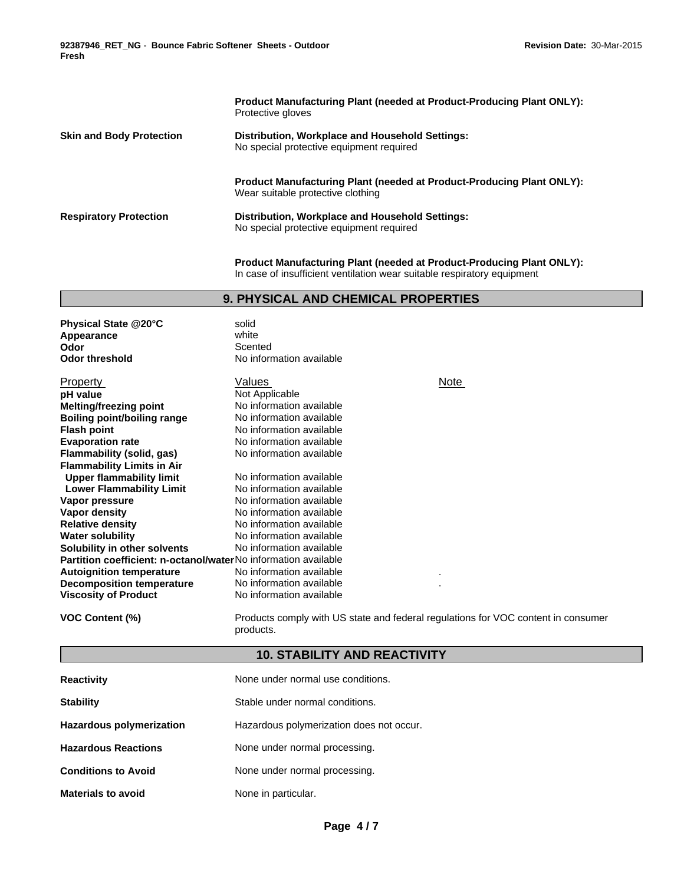|                                 | <b>Product Manufacturing Plant (needed at Product-Producing Plant ONLY):</b><br>Protective gloves                 |
|---------------------------------|-------------------------------------------------------------------------------------------------------------------|
| <b>Skin and Body Protection</b> | Distribution, Workplace and Household Settings:<br>No special protective equipment required                       |
|                                 | <b>Product Manufacturing Plant (needed at Product-Producing Plant ONLY):</b><br>Wear suitable protective clothing |
| <b>Respiratory Protection</b>   | Distribution, Workplace and Household Settings:<br>No special protective equipment required                       |
|                                 |                                                                                                                   |

**Product Manufacturing Plant (needed at Product-Producing Plant ONLY):** In case of insufficient ventilation wear suitable respiratory equipment

## **9. PHYSICAL AND CHEMICAL PROPERTIES**

| Physical State @20°C<br>Appearance                                    | solid<br>white           |             |  |  |
|-----------------------------------------------------------------------|--------------------------|-------------|--|--|
| Odor                                                                  | Scented                  |             |  |  |
| <b>Odor threshold</b>                                                 | No information available |             |  |  |
|                                                                       |                          |             |  |  |
| <b>Property</b>                                                       | Values                   | <b>Note</b> |  |  |
| pH value                                                              | Not Applicable           |             |  |  |
| <b>Melting/freezing point</b>                                         | No information available |             |  |  |
| Boiling point/boiling range                                           | No information available |             |  |  |
| <b>Flash point</b>                                                    | No information available |             |  |  |
| <b>Evaporation rate</b>                                               | No information available |             |  |  |
| <b>Flammability (solid, gas)</b>                                      | No information available |             |  |  |
| <b>Flammability Limits in Air</b>                                     |                          |             |  |  |
| <b>Upper flammability limit</b>                                       | No information available |             |  |  |
| <b>Lower Flammability Limit</b>                                       | No information available |             |  |  |
| Vapor pressure                                                        | No information available |             |  |  |
| Vapor density                                                         | No information available |             |  |  |
| <b>Relative density</b>                                               | No information available |             |  |  |
| <b>Water solubility</b>                                               | No information available |             |  |  |
| Solubility in other solvents                                          | No information available |             |  |  |
| <b>Partition coefficient: n-octanol/waterNo information available</b> |                          |             |  |  |
| <b>Autoignition temperature</b>                                       | No information available |             |  |  |
| <b>Decomposition temperature</b>                                      | No information available |             |  |  |
| <b>Viscosity of Product</b>                                           | No information available |             |  |  |
|                                                                       |                          |             |  |  |

**VOC Content (%)** Products comply with US state and federal regulations for VOC content in consumer products.

# **10. STABILITY AND REACTIVITY**

| <b>Reactivity</b>               | None under normal use conditions.        |
|---------------------------------|------------------------------------------|
| <b>Stability</b>                | Stable under normal conditions.          |
| <b>Hazardous polymerization</b> | Hazardous polymerization does not occur. |
| <b>Hazardous Reactions</b>      | None under normal processing.            |
| <b>Conditions to Avoid</b>      | None under normal processing.            |
| <b>Materials to avoid</b>       | None in particular.                      |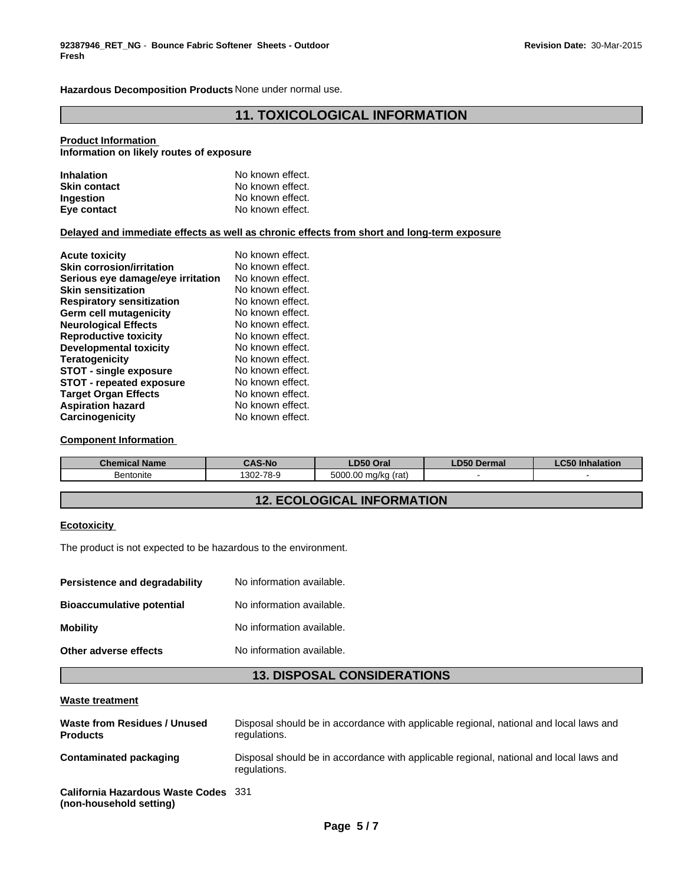**Hazardous Decomposition Products** None under normal use.

## **11. TOXICOLOGICAL INFORMATION**

#### **Product Information**

**Information on likely routes of exposure**

| <b>Inhalation</b>   | No known effect. |
|---------------------|------------------|
| <b>Skin contact</b> | No known effect. |
| <b>Ingestion</b>    | No known effect. |
| Eye contact         | No known effect. |

## **Delayed and immediate effects as well as chronic effects from short and long-term exposure**

| <b>Acute toxicity</b>             | No known effect. |
|-----------------------------------|------------------|
| <b>Skin corrosion/irritation</b>  | No known effect. |
| Serious eye damage/eye irritation | No known effect. |
| <b>Skin sensitization</b>         | No known effect. |
| <b>Respiratory sensitization</b>  | No known effect. |
| Germ cell mutagenicity            | No known effect. |
| <b>Neurological Effects</b>       | No known effect. |
| <b>Reproductive toxicity</b>      | No known effect. |
| <b>Developmental toxicity</b>     | No known effect. |
| <b>Teratogenicity</b>             | No known effect. |
| <b>STOT - single exposure</b>     | No known effect. |
| <b>STOT - repeated exposure</b>   | No known effect. |
| <b>Target Organ Effects</b>       | No known effect. |
| <b>Aspiration hazard</b>          | No known effect. |
| Carcinogenicity                   | No known effect. |

## **Component Information**

| <b>Chemical Name</b> | <b>CAS-No</b> | LD50 Oral                 | <b>D50 Dermal</b> | $P - P$<br>C50 Inhalation |
|----------------------|---------------|---------------------------|-------------------|---------------------------|
| Bentonite            | 1302-78-9     | 5000.00<br>(rat)<br>ma/ka |                   |                           |

# **12. ECOLOGICAL INFORMATION**

#### **Ecotoxicity**

The product is not expected to be hazardous to the environment.

| No information available. |
|---------------------------|
| No information available. |
| No information available. |
| No information available. |
|                           |

## **13. DISPOSAL CONSIDERATIONS**

#### **Waste treatment**

| Waste from Residues / Unused<br><b>Products</b>                 | Disposal should be in accordance with applicable regional, national and local laws and<br>regulations. |
|-----------------------------------------------------------------|--------------------------------------------------------------------------------------------------------|
| Contaminated packaging                                          | Disposal should be in accordance with applicable regional, national and local laws and<br>regulations. |
| California Hazardous Waste Codes 331<br>(non-household setting) |                                                                                                        |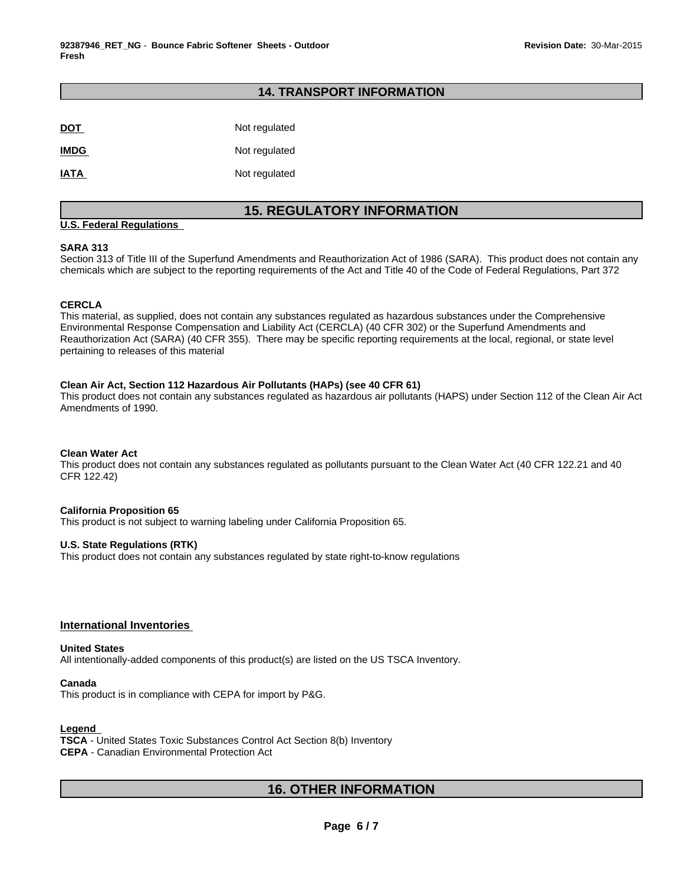## **14. TRANSPORT INFORMATION**

| <b>DOT</b>  | Not regulated |
|-------------|---------------|
| <b>IMDG</b> | Not regulated |
| <b>IATA</b> | Not regulated |

# **15. REGULATORY INFORMATION**

## **U.S. Federal Regulations**

## **SARA 313**

Section 313 of Title III of the Superfund Amendments and Reauthorization Act of 1986 (SARA). This product does not contain any chemicals which are subject to the reporting requirements of the Act and Title 40 of the Code of Federal Regulations, Part 372

## **CERCLA**

This material, as supplied, does not contain any substances regulated as hazardous substances under the Comprehensive Environmental Response Compensation and Liability Act (CERCLA) (40 CFR 302) or the Superfund Amendments and Reauthorization Act (SARA) (40 CFR 355). There may be specific reporting requirements at the local, regional, or state level pertaining to releases of this material

#### **Clean Air Act, Section 112 Hazardous Air Pollutants (HAPs) (see 40 CFR 61)**

This product does not contain any substances regulated as hazardous air pollutants (HAPS) under Section 112 of the Clean Air Act Amendments of 1990.

## **Clean Water Act**

This product does not contain any substances regulated as pollutants pursuant to the Clean Water Act (40 CFR 122.21 and 40 CFR 122.42)

#### **California Proposition 65**

This product is not subject to warning labeling under California Proposition 65.

## **U.S. State Regulations (RTK)**

This product does not contain any substances regulated by state right-to-know regulations

## **International Inventories**

#### **United States**

All intentionally-added components of this product(s) are listed on the US TSCA Inventory.

#### **Canada**

This product is in compliance with CEPA for import by P&G.

## **Legend**

**TSCA** - United States Toxic Substances Control Act Section 8(b) Inventory **CEPA** - Canadian Environmental Protection Act

# **16. OTHER INFORMATION**